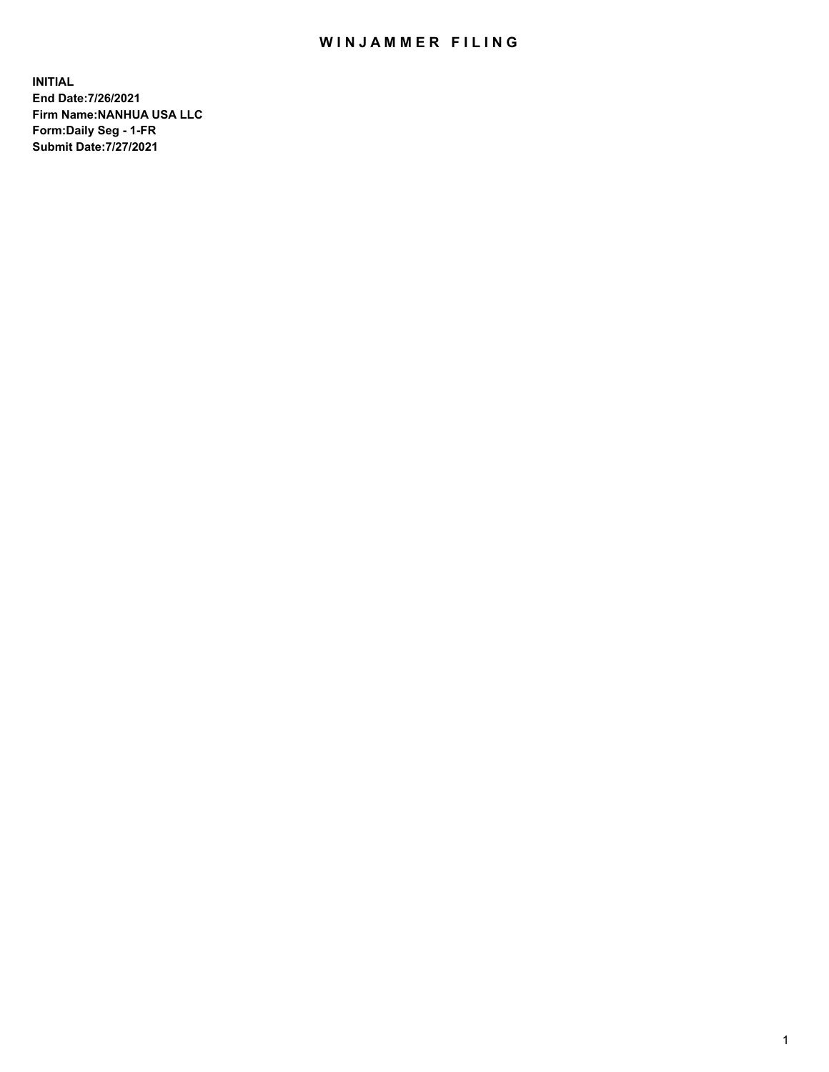## WIN JAMMER FILING

**INITIAL End Date:7/26/2021 Firm Name:NANHUA USA LLC Form:Daily Seg - 1-FR Submit Date:7/27/2021**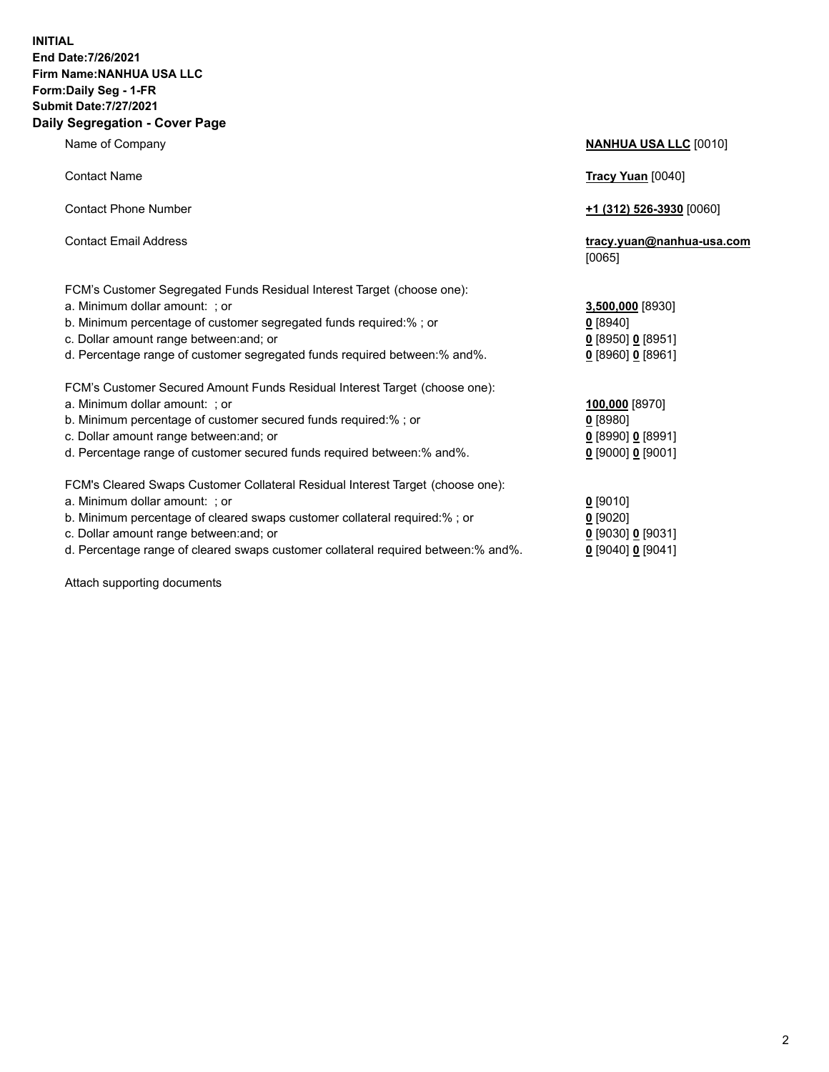## **INITIAL End Date:7/26/2021 Firm Name:NANHUA USA LLC Form:Daily Seg - 1-FR Submit Date:7/27/2021 Daily Segregation - Cover Page**

Name of Company **NANHUA USA LLC** [0010] Contact Name **Tracy Yuan** [0040] Contact Phone Number **+1 (312) 526-3930** [0060] Contact Email Address **tracy.yuan@nanhua-usa.com** [0065] FCM's Customer Segregated Funds Residual Interest Target (choose one): a. Minimum dollar amount: ; or **3,500,000** [8930] b. Minimum percentage of customer segregated funds required:% ; or **0** [8940] c. Dollar amount range between:and; or **0** [8950] **0** [8951] d. Percentage range of customer segregated funds required between:% and%. **0** [8960] **0** [8961] FCM's Customer Secured Amount Funds Residual Interest Target (choose one): a. Minimum dollar amount: ; or **100,000** [8970] b. Minimum percentage of customer secured funds required:% ; or **0** [8980] c. Dollar amount range between:and; or **0** [8990] **0** [8991] d. Percentage range of customer secured funds required between:% and%. **0** [9000] **0** [9001] FCM's Cleared Swaps Customer Collateral Residual Interest Target (choose one): a. Minimum dollar amount: ; or **0** [9010] b. Minimum percentage of cleared swaps customer collateral required:% ; or **0** [9020] c. Dollar amount range between:and; or **0** [9030] **0** [9031]

d. Percentage range of cleared swaps customer collateral required between:% and%. **0** [9040] **0** [9041]

Attach supporting documents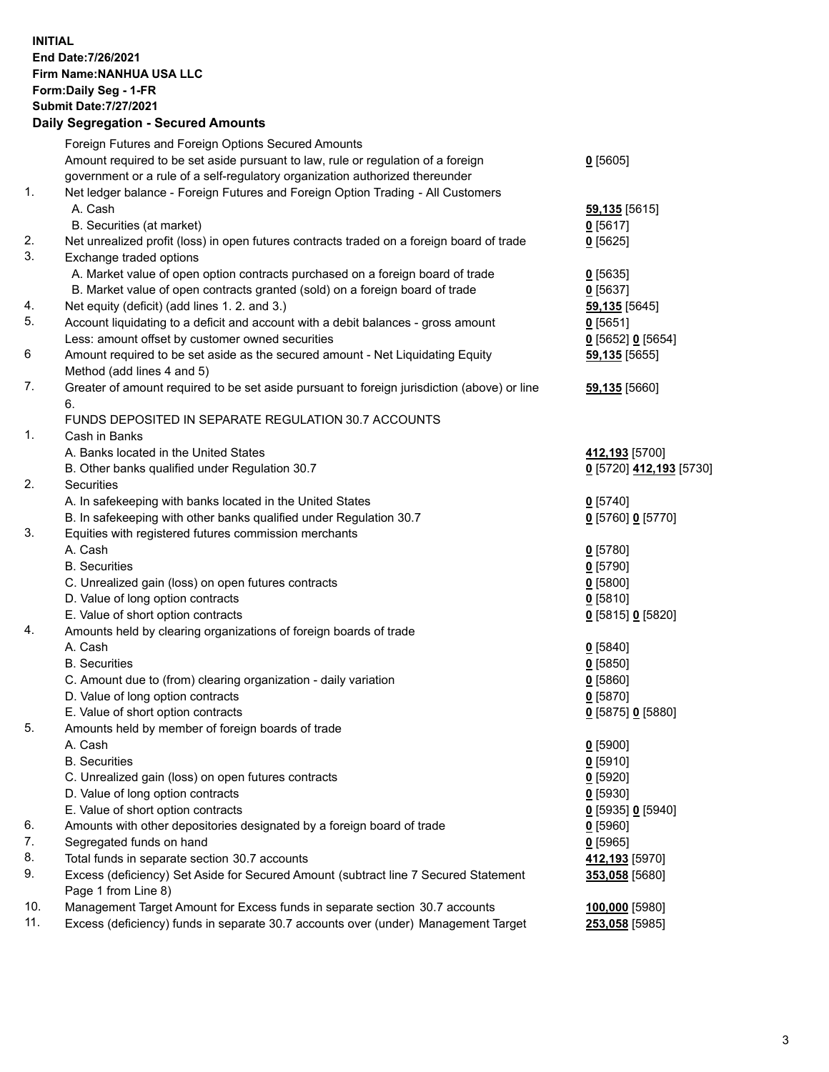**INITIAL End Date:7/26/2021 Firm Name:NANHUA USA LLC Form:Daily Seg - 1-FR Submit Date:7/27/2021**

## **Daily Segregation - Secured Amounts**

|                | Foreign Futures and Foreign Options Secured Amounts                                         |                           |
|----------------|---------------------------------------------------------------------------------------------|---------------------------|
|                | Amount required to be set aside pursuant to law, rule or regulation of a foreign            | 0[5605]                   |
|                | government or a rule of a self-regulatory organization authorized thereunder                |                           |
| $\mathbf{1}$ . | Net ledger balance - Foreign Futures and Foreign Option Trading - All Customers             |                           |
|                | A. Cash                                                                                     | 59,135 [5615]             |
| 2.             | B. Securities (at market)                                                                   | $0$ [5617]                |
|                | Net unrealized profit (loss) in open futures contracts traded on a foreign board of trade   | $0$ [5625]                |
| 3.             | Exchange traded options                                                                     |                           |
|                | A. Market value of open option contracts purchased on a foreign board of trade              | $0$ [5635]                |
|                | B. Market value of open contracts granted (sold) on a foreign board of trade                | $0$ [5637]                |
| 4.             | Net equity (deficit) (add lines 1. 2. and 3.)                                               | 59,135 [5645]             |
| 5.             | Account liquidating to a deficit and account with a debit balances - gross amount           | $0$ [5651]                |
|                | Less: amount offset by customer owned securities                                            | 0 [5652] 0 [5654]         |
| 6              | Amount required to be set aside as the secured amount - Net Liquidating Equity              | 59,135 [5655]             |
|                | Method (add lines 4 and 5)                                                                  |                           |
| 7.             | Greater of amount required to be set aside pursuant to foreign jurisdiction (above) or line | 59,135 [5660]             |
|                | 6.                                                                                          |                           |
|                | FUNDS DEPOSITED IN SEPARATE REGULATION 30.7 ACCOUNTS                                        |                           |
| $\mathbf{1}$ . | Cash in Banks                                                                               |                           |
|                | A. Banks located in the United States                                                       | 412,193 [5700]            |
|                | B. Other banks qualified under Regulation 30.7                                              | 0 [5720] 412,193 [5730]   |
| 2.             | Securities                                                                                  |                           |
|                | A. In safekeeping with banks located in the United States                                   | $0$ [5740]                |
|                | B. In safekeeping with other banks qualified under Regulation 30.7                          | 0 [5760] 0 [5770]         |
| 3.             | Equities with registered futures commission merchants                                       |                           |
|                | A. Cash                                                                                     | $0$ [5780]                |
|                | <b>B.</b> Securities                                                                        | $0$ [5790]                |
|                | C. Unrealized gain (loss) on open futures contracts                                         | $0$ [5800]                |
|                | D. Value of long option contracts                                                           | $0$ [5810]                |
|                | E. Value of short option contracts                                                          | 0 [5815] 0 [5820]         |
| 4.             | Amounts held by clearing organizations of foreign boards of trade                           |                           |
|                | A. Cash                                                                                     | $0$ [5840]                |
|                | <b>B.</b> Securities                                                                        | $0$ [5850]                |
|                | C. Amount due to (from) clearing organization - daily variation                             | $0$ [5860]                |
|                | D. Value of long option contracts                                                           | $0$ [5870]                |
|                | E. Value of short option contracts                                                          | 0 [5875] 0 [5880]         |
| 5.             | Amounts held by member of foreign boards of trade                                           |                           |
|                | A. Cash                                                                                     | $0$ [5900]                |
|                | <b>B.</b> Securities                                                                        | $0$ [5910]                |
|                | C. Unrealized gain (loss) on open futures contracts                                         | $0$ [5920]                |
|                | D. Value of long option contracts                                                           | $0$ [5930]                |
|                | E. Value of short option contracts                                                          | 0 [5935] 0 [5940]         |
| 6.             | Amounts with other depositories designated by a foreign board of trade                      | $0$ [5960]                |
| 7.             | Segregated funds on hand                                                                    | $0$ [5965]                |
| 8.             | Total funds in separate section 30.7 accounts                                               | 412,193 <sub>[5970]</sub> |
| 9.             | Excess (deficiency) Set Aside for Secured Amount (subtract line 7 Secured Statement         | 353,058 [5680]            |
|                | Page 1 from Line 8)                                                                         |                           |
| 10.            | Management Target Amount for Excess funds in separate section 30.7 accounts                 | 100,000 [5980]            |
| 11.            | Excess (deficiency) funds in separate 30.7 accounts over (under) Management Target          | <b>253,058</b> [5985]     |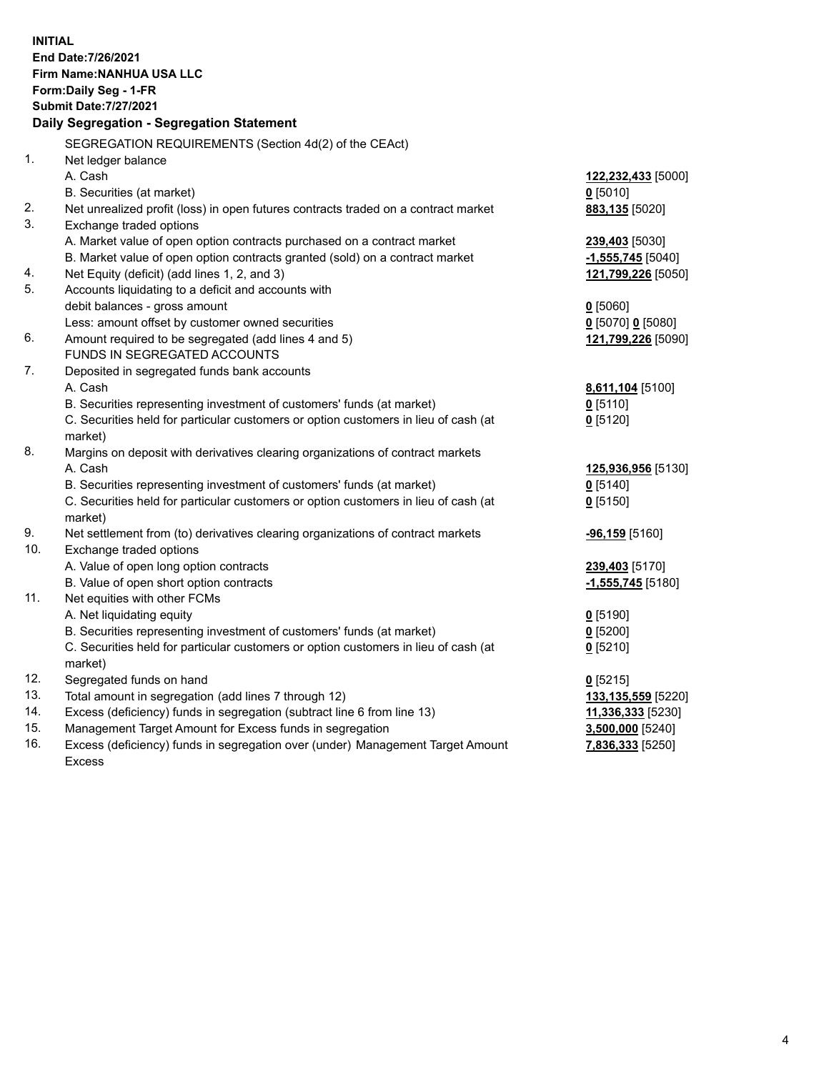**INITIAL End Date:7/26/2021 Firm Name:NANHUA USA LLC Form:Daily Seg - 1-FR Submit Date:7/27/2021 Daily Segregation - Segregation Statement** SEGREGATION REQUIREMENTS (Section 4d(2) of the CEAct) 1. Net ledger balance A. Cash **122,232,433** [5000] B. Securities (at market) **0** [5010] 2. Net unrealized profit (loss) in open futures contracts traded on a contract market **883,135** [5020] 3. Exchange traded options A. Market value of open option contracts purchased on a contract market **239,403** [5030] B. Market value of open option contracts granted (sold) on a contract market **-1,555,745** [5040] 4. Net Equity (deficit) (add lines 1, 2, and 3) **121,799,226** [5050] 5. Accounts liquidating to a deficit and accounts with debit balances - gross amount **0** [5060] Less: amount offset by customer owned securities **0** [5070] **0** [5080] 6. Amount required to be segregated (add lines 4 and 5) **121,799,226** [5090] FUNDS IN SEGREGATED ACCOUNTS 7. Deposited in segregated funds bank accounts A. Cash **8,611,104** [5100] B. Securities representing investment of customers' funds (at market) **0** [5110] C. Securities held for particular customers or option customers in lieu of cash (at market) **0** [5120] 8. Margins on deposit with derivatives clearing organizations of contract markets A. Cash **125,936,956** [5130] B. Securities representing investment of customers' funds (at market) **0** [5140] C. Securities held for particular customers or option customers in lieu of cash (at market) **0** [5150] 9. Net settlement from (to) derivatives clearing organizations of contract markets **-96,159** [5160] 10. Exchange traded options A. Value of open long option contracts **239,403** [5170] B. Value of open short option contracts **-1,555,745** [5180] 11. Net equities with other FCMs A. Net liquidating equity **0** [5190] B. Securities representing investment of customers' funds (at market) **0** [5200] C. Securities held for particular customers or option customers in lieu of cash (at market) **0** [5210] 12. Segregated funds on hand **0** [5215] 13. Total amount in segregation (add lines 7 through 12) **133,135,559** [5220] 14. Excess (deficiency) funds in segregation (subtract line 6 from line 13) **11,336,333** [5230] 15. Management Target Amount for Excess funds in segregation **3,500,000** [5240] 16. Excess (deficiency) funds in segregation over (under) Management Target Amount Excess **7,836,333** [5250]